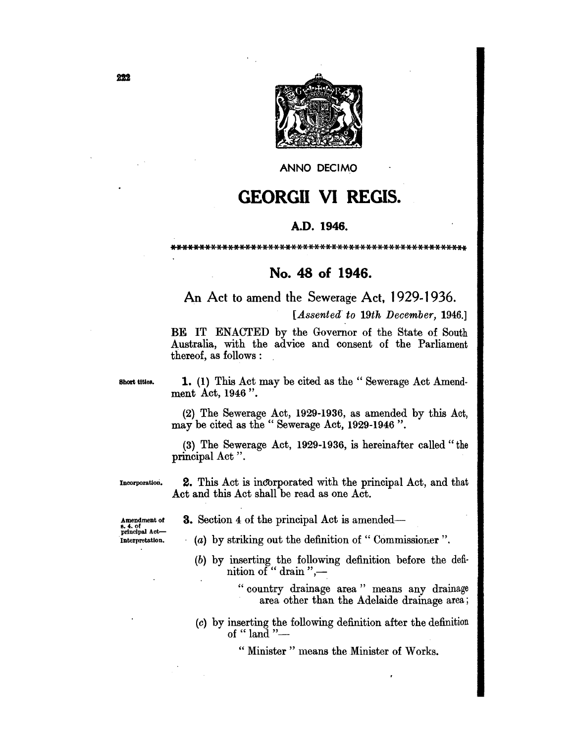

**ANNO DECIMO** 

## **GEORGII VI REGIS.**

## A.D. 1946.

\*\*\*\*\*\*\*\*\*\*\*\*\*\*\*\*\*\*\*

## No. 48 of 1946.

An Act to amend the Sewerage Act, 1929-1936.

[Assented to 19th December, 1946.]

BE IT ENACTED by the Governor of the State of South Australia, with the advice and consent of the Parliament thereof, as follows:

Short titles.

1. (1) This Act may be cited as the "Sewerage Act Amendment Act, 1946".

(2) The Sewerage Act, 1929-1936, as amended by this Act, may be cited as the "Sewerage Act, 1929-1946".

(3) The Sewerage Act, 1929-1936, is hereinafter called "the principal Act".

Incorporation.

**2.** This Act is incorporated with the principal Act, and that Act and this Act shall be read as one Act.

- **3.** Section 4 of the principal Act is amended—
- $(a)$  by striking out the definition of "Commissioner".
	- (b) by inserting the following definition before the definition of "drain",-

"country drainage area" means any drainage area other than the Adelaide drainage area;

(c) by inserting the following definition after the definition of " $land$ "-

" Minister " means the Minister of Works.

Amendment of s. 4. of<br>principal Act-Interpretation.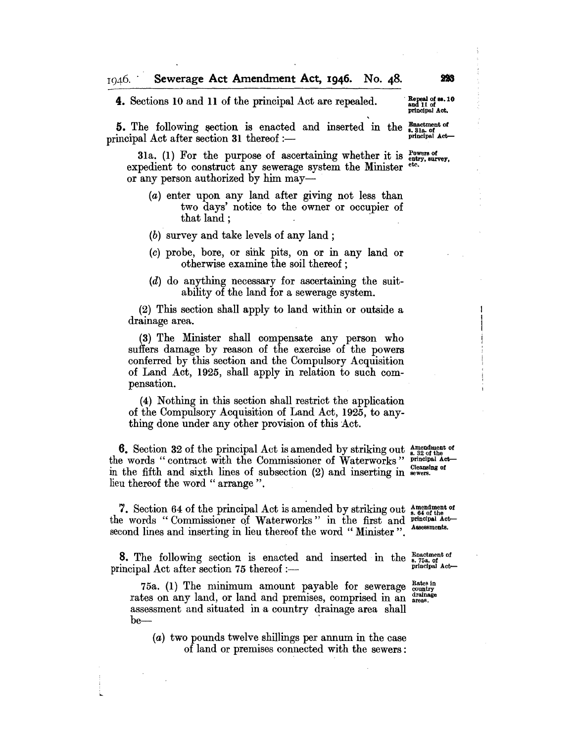4. Sections 10 and 11 of the principal Act are repealed.

**5.** The following section is enacted and inserted in the  $_{s. 31a. of }^{h. 31a. of }$  principal Act after section 31 thereof :—

31a. (1) For the purpose of ascertaining whether it is  $_{\text{e}}^{\text{Powers of}}$ <br>roadient to construct any source  $x_0$  system the Minister  $_{\text{e}}^{\text{etc.}}$ expedient to construct any sewerage system the Minister or any person authorized by him may-

(a) enter upon any land after giving not less than two days' notice to the owner or occupier of that land; .

(b) survey and take levels of any land;

- (c) probe, bore, or sihk pits, on or in any land or otherwise examine the soil thereof ;
- (d) do anything necessary for ascertaining the suitability of the land for a sewerage system.

(2) This section shall apply to land within or outside a drainage area.

(3) The Minister shall compensate any person who suffers damage by reason of the exercise of the powers conferred by this section and the Compulsory Acquisition of Land Act, 1925, shall apply in relation to such compensation.

(4) Nothing in this section shall restrict the application of the Compulsory Acquisition of Land Act, 1925, to anything done under any other provision of this Act.

6. Section 32 of the principal Act is amended by striking out  $_{8.32}^{Amealment}$  of the words "contract with the Commissioner of Waterworks" principal Actin the fifth and sixth lines of subsection  $(2)$  and inserting in  $_{\rm events}^{\rm cleansing}$  of lieu thereof the word " arrange".

7. Section 64 of the principal Act is amended by striking out  $_{s, 64}^{Ameindment~of}$ the words "Commissioner of Waterworks" in the first and principal Actsecond lines and inserting in lieu thereof the word "Minister". 7. Section 64 of the principal Act is amended by striking out Amendment of the words " Commissioner of Waterworks" in the first and principal Act second lines and inserting in lieu thereof the word " Minister". Assessments

**8.** The following section is enacted and inserted in the  $_{s.75a.}^{Enactment of principal Act after section 75 thereof :$ 

75a. (1) The minimum amount payable for sewerage  $_{\text{country}}^{\text{Rate}\text{ in}}$ rates on any land, or land and premises, comprised in an areas. assessment and situated in a country drainage area shall be-

(a) two pounds twelve shillings per annum in the case of land or premises connected with the sewers: